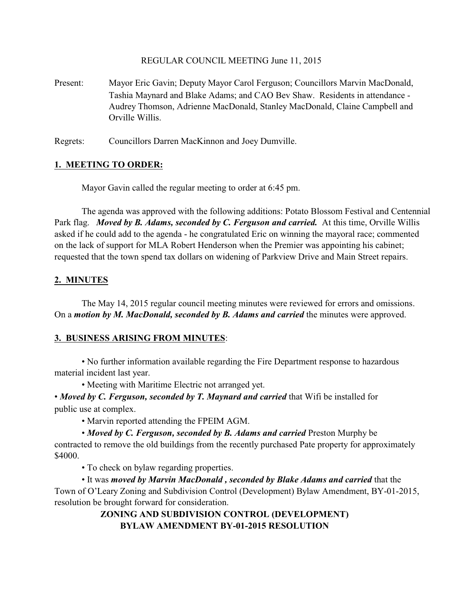### REGULAR COUNCIL MEETING June 11, 2015

Present: Mayor Eric Gavin; Deputy Mayor Carol Ferguson; Councillors Marvin MacDonald, Tashia Maynard and Blake Adams; and CAO Bev Shaw. Residents in attendance - Audrey Thomson, Adrienne MacDonald, Stanley MacDonald, Claine Campbell and Orville Willis.

Regrets: Councillors Darren MacKinnon and Joey Dumville.

## **1. MEETING TO ORDER:**

Mayor Gavin called the regular meeting to order at 6:45 pm.

The agenda was approved with the following additions: Potato Blossom Festival and Centennial Park flag. *Moved by B. Adams, seconded by C. Ferguson and carried.* At this time, Orville Willis asked if he could add to the agenda - he congratulated Eric on winning the mayoral race; commented on the lack of support for MLA Robert Henderson when the Premier was appointing his cabinet; requested that the town spend tax dollars on widening of Parkview Drive and Main Street repairs.

## **2. MINUTES**

The May 14, 2015 regular council meeting minutes were reviewed for errors and omissions. On a *motion by M. MacDonald, seconded by B. Adams and carried* the minutes were approved.

## **3. BUSINESS ARISING FROM MINUTES**:

• No further information available regarding the Fire Department response to hazardous material incident last year.

• Meeting with Maritime Electric not arranged yet.

• *Moved by C. Ferguson, seconded by T. Maynard and carried* that Wifi be installed for public use at complex.

• Marvin reported attending the FPEIM AGM.

• *Moved by C. Ferguson, seconded by B. Adams and carried* Preston Murphy be contracted to remove the old buildings from the recently purchased Pate property for approximately \$4000.

• To check on bylaw regarding properties.

• It was *moved by Marvin MacDonald , seconded by Blake Adams and carried* that the Town of O'Leary Zoning and Subdivision Control (Development) Bylaw Amendment, BY-01-2015, resolution be brought forward for consideration.

# **ZONING AND SUBDIVISION CONTROL (DEVELOPMENT) BYLAW AMENDMENT BY-01-2015 RESOLUTION**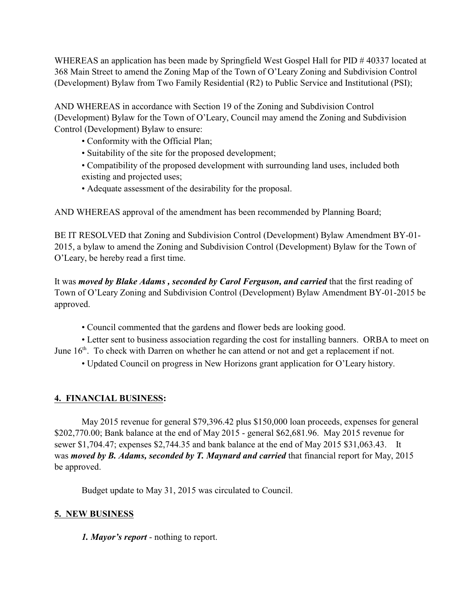WHEREAS an application has been made by Springfield West Gospel Hall for PID # 40337 located at 368 Main Street to amend the Zoning Map of the Town of O'Leary Zoning and Subdivision Control (Development) Bylaw from Two Family Residential (R2) to Public Service and Institutional (PSI);

AND WHEREAS in accordance with Section 19 of the Zoning and Subdivision Control (Development) Bylaw for the Town of O'Leary, Council may amend the Zoning and Subdivision Control (Development) Bylaw to ensure:

- Conformity with the Official Plan;
- Suitability of the site for the proposed development;
- Compatibility of the proposed development with surrounding land uses, included both existing and projected uses;
- Adequate assessment of the desirability for the proposal.

AND WHEREAS approval of the amendment has been recommended by Planning Board;

BE IT RESOLVED that Zoning and Subdivision Control (Development) Bylaw Amendment BY-01- 2015, a bylaw to amend the Zoning and Subdivision Control (Development) Bylaw for the Town of O'Leary, be hereby read a first time.

It was *moved by Blake Adams , seconded by Carol Ferguson, and carried* that the first reading of Town of O'Leary Zoning and Subdivision Control (Development) Bylaw Amendment BY-01-2015 be approved.

• Council commented that the gardens and flower beds are looking good.

• Letter sent to business association regarding the cost for installing banners. ORBA to meet on June  $16<sup>th</sup>$ . To check with Darren on whether he can attend or not and get a replacement if not.

• Updated Council on progress in New Horizons grant application for O'Leary history.

# **4. FINANCIAL BUSINESS:**

May 2015 revenue for general \$79,396.42 plus \$150,000 loan proceeds, expenses for general \$202,770.00; Bank balance at the end of May 2015 - general \$62,681.96. May 2015 revenue for sewer \$1,704.47; expenses \$2,744.35 and bank balance at the end of May 2015 \$31,063.43. It was *moved by B. Adams, seconded by T. Maynard and carried* that financial report for May, 2015 be approved.

Budget update to May 31, 2015 was circulated to Council.

## **5. NEW BUSINESS**

*1. Mayor's report* - nothing to report.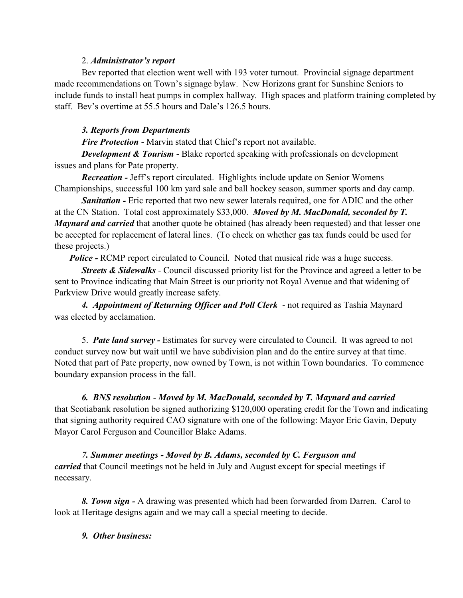### 2. *Administrator's report*

Bev reported that election went well with 193 voter turnout. Provincial signage department made recommendations on Town's signage bylaw. New Horizons grant for Sunshine Seniors to include funds to install heat pumps in complex hallway. High spaces and platform training completed by staff. Bev's overtime at 55.5 hours and Dale's 126.5 hours.

## *3. Reports from Departments*

*Fire Protection* - Marvin stated that Chief's report not available.

*Development & Tourism* - Blake reported speaking with professionals on development issues and plans for Pate property.

*Recreation -* Jeff's report circulated. Highlights include update on Senior Womens Championships, successful 100 km yard sale and ball hockey season, summer sports and day camp.

*Sanitation -* Eric reported that two new sewer laterals required, one for ADIC and the other at the CN Station. Total cost approximately \$33,000. *Moved by M. MacDonald, seconded by T. Maynard and carried* that another quote be obtained (has already been requested) and that lesser one be accepted for replacement of lateral lines. (To check on whether gas tax funds could be used for these projects.)

*Police -* RCMP report circulated to Council. Noted that musical ride was a huge success.

*Streets & Sidewalks* - Council discussed priority list for the Province and agreed a letter to be sent to Province indicating that Main Street is our priority not Royal Avenue and that widening of Parkview Drive would greatly increase safety.

4. Appointment of Returning Officer and Poll Clerk - not required as Tashia Maynard was elected by acclamation.

5. *Pate land survey -* Estimates for survey were circulated to Council. It was agreed to not conduct survey now but wait until we have subdivision plan and do the entire survey at that time. Noted that part of Pate property, now owned by Town, is not within Town boundaries. To commence boundary expansion process in the fall.

*6. BNS resolution* - *Moved by M. MacDonald, seconded by T. Maynard and carried* that Scotiabank resolution be signed authorizing \$120,000 operating credit for the Town and indicating that signing authority required CAO signature with one of the following: Mayor Eric Gavin, Deputy Mayor Carol Ferguson and Councillor Blake Adams.

*7. Summer meetings - Moved by B. Adams, seconded by C. Ferguson and carried* that Council meetings not be held in July and August except for special meetings if necessary.

*8. Town sign -* A drawing was presented which had been forwarded from Darren. Carol to look at Heritage designs again and we may call a special meeting to decide.

*9. Other business:*